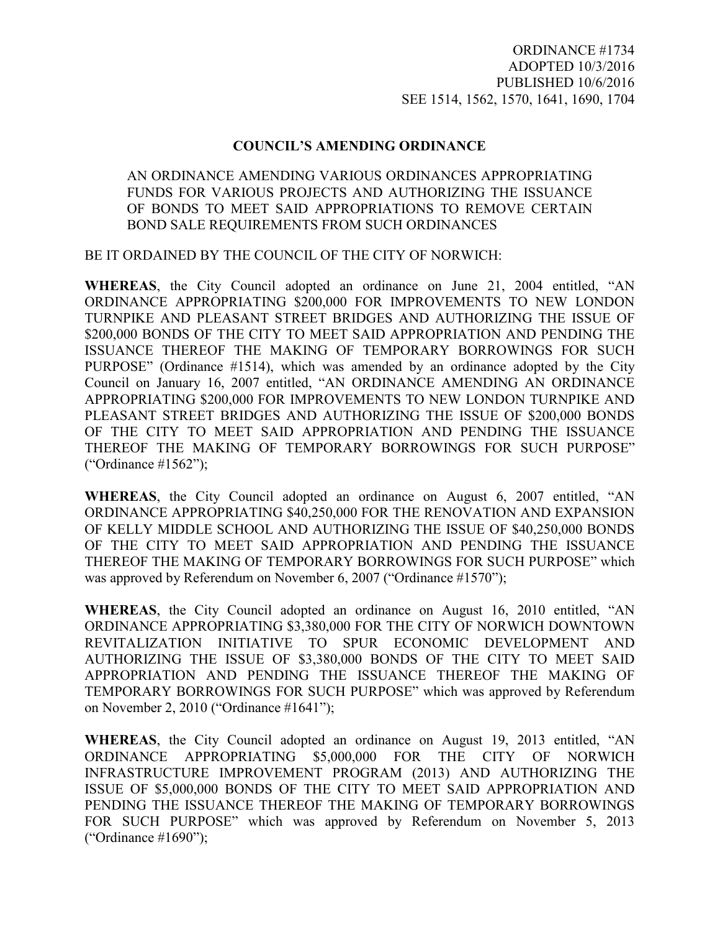## **COUNCIL'S AMENDING ORDINANCE**

## AN ORDINANCE AMENDING VARIOUS ORDINANCES APPROPRIATING FUNDS FOR VARIOUS PROJECTS AND AUTHORIZING THE ISSUANCE OF BONDS TO MEET SAID APPROPRIATIONS TO REMOVE CERTAIN BOND SALE REQUIREMENTS FROM SUCH ORDINANCES

BE IT ORDAINED BY THE COUNCIL OF THE CITY OF NORWICH:

**WHEREAS**, the City Council adopted an ordinance on June 21, 2004 entitled, "AN ORDINANCE APPROPRIATING \$200,000 FOR IMPROVEMENTS TO NEW LONDON TURNPIKE AND PLEASANT STREET BRIDGES AND AUTHORIZING THE ISSUE OF \$200,000 BONDS OF THE CITY TO MEET SAID APPROPRIATION AND PENDING THE ISSUANCE THEREOF THE MAKING OF TEMPORARY BORROWINGS FOR SUCH PURPOSE" (Ordinance #1514), which was amended by an ordinance adopted by the City Council on January 16, 2007 entitled, "AN ORDINANCE AMENDING AN ORDINANCE APPROPRIATING \$200,000 FOR IMPROVEMENTS TO NEW LONDON TURNPIKE AND PLEASANT STREET BRIDGES AND AUTHORIZING THE ISSUE OF \$200,000 BONDS OF THE CITY TO MEET SAID APPROPRIATION AND PENDING THE ISSUANCE THEREOF THE MAKING OF TEMPORARY BORROWINGS FOR SUCH PURPOSE" ("Ordinance #1562");

**WHEREAS**, the City Council adopted an ordinance on August 6, 2007 entitled, "AN ORDINANCE APPROPRIATING \$40,250,000 FOR THE RENOVATION AND EXPANSION OF KELLY MIDDLE SCHOOL AND AUTHORIZING THE ISSUE OF \$40,250,000 BONDS OF THE CITY TO MEET SAID APPROPRIATION AND PENDING THE ISSUANCE THEREOF THE MAKING OF TEMPORARY BORROWINGS FOR SUCH PURPOSE" which was approved by Referendum on November 6, 2007 ("Ordinance #1570");

**WHEREAS**, the City Council adopted an ordinance on August 16, 2010 entitled, "AN ORDINANCE APPROPRIATING \$3,380,000 FOR THE CITY OF NORWICH DOWNTOWN REVITALIZATION INITIATIVE TO SPUR ECONOMIC DEVELOPMENT AND AUTHORIZING THE ISSUE OF \$3,380,000 BONDS OF THE CITY TO MEET SAID APPROPRIATION AND PENDING THE ISSUANCE THEREOF THE MAKING OF TEMPORARY BORROWINGS FOR SUCH PURPOSE" which was approved by Referendum on November 2, 2010 ("Ordinance #1641");

**WHEREAS**, the City Council adopted an ordinance on August 19, 2013 entitled, "AN ORDINANCE APPROPRIATING \$5,000,000 FOR THE CITY OF NORWICH INFRASTRUCTURE IMPROVEMENT PROGRAM (2013) AND AUTHORIZING THE ISSUE OF \$5,000,000 BONDS OF THE CITY TO MEET SAID APPROPRIATION AND PENDING THE ISSUANCE THEREOF THE MAKING OF TEMPORARY BORROWINGS FOR SUCH PURPOSE" which was approved by Referendum on November 5, 2013 ("Ordinance #1690");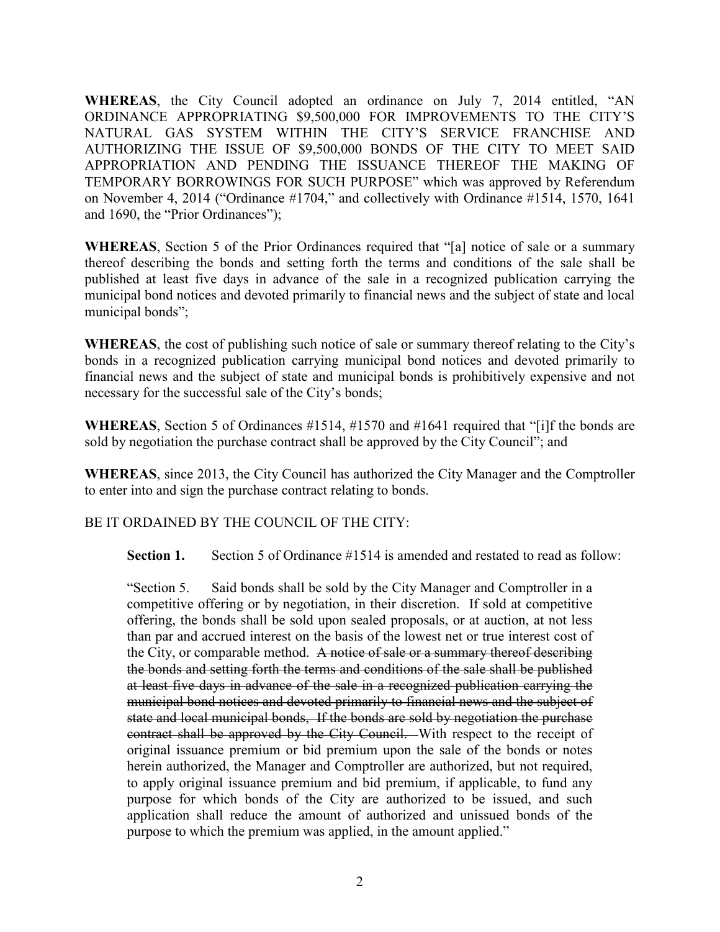**WHEREAS**, the City Council adopted an ordinance on July 7, 2014 entitled, "AN ORDINANCE APPROPRIATING \$9,500,000 FOR IMPROVEMENTS TO THE CITY'S NATURAL GAS SYSTEM WITHIN THE CITY'S SERVICE FRANCHISE AND AUTHORIZING THE ISSUE OF \$9,500,000 BONDS OF THE CITY TO MEET SAID APPROPRIATION AND PENDING THE ISSUANCE THEREOF THE MAKING OF TEMPORARY BORROWINGS FOR SUCH PURPOSE" which was approved by Referendum on November 4, 2014 ("Ordinance #1704," and collectively with Ordinance #1514, 1570, 1641 and 1690, the "Prior Ordinances");

**WHEREAS**, Section 5 of the Prior Ordinances required that "[a] notice of sale or a summary thereof describing the bonds and setting forth the terms and conditions of the sale shall be published at least five days in advance of the sale in a recognized publication carrying the municipal bond notices and devoted primarily to financial news and the subject of state and local municipal bonds";

**WHEREAS**, the cost of publishing such notice of sale or summary thereof relating to the City's bonds in a recognized publication carrying municipal bond notices and devoted primarily to financial news and the subject of state and municipal bonds is prohibitively expensive and not necessary for the successful sale of the City's bonds;

**WHEREAS**, Section 5 of Ordinances #1514, #1570 and #1641 required that "[i]f the bonds are sold by negotiation the purchase contract shall be approved by the City Council"; and

**WHEREAS**, since 2013, the City Council has authorized the City Manager and the Comptroller to enter into and sign the purchase contract relating to bonds.

BE IT ORDAINED BY THE COUNCIL OF THE CITY:

**Section 1.** Section 5 of Ordinance #1514 is amended and restated to read as follow:

"Section 5. Said bonds shall be sold by the City Manager and Comptroller in a competitive offering or by negotiation, in their discretion. If sold at competitive offering, the bonds shall be sold upon sealed proposals, or at auction, at not less than par and accrued interest on the basis of the lowest net or true interest cost of the City, or comparable method. A notice of sale or a summary thereof describing the bonds and setting forth the terms and conditions of the sale shall be published at least five days in advance of the sale in a recognized publication carrying the municipal bond notices and devoted primarily to financial news and the subject of state and local municipal bonds, If the bonds are sold by negotiation the purchase contract shall be approved by the City Council. With respect to the receipt of original issuance premium or bid premium upon the sale of the bonds or notes herein authorized, the Manager and Comptroller are authorized, but not required, to apply original issuance premium and bid premium, if applicable, to fund any purpose for which bonds of the City are authorized to be issued, and such application shall reduce the amount of authorized and unissued bonds of the purpose to which the premium was applied, in the amount applied."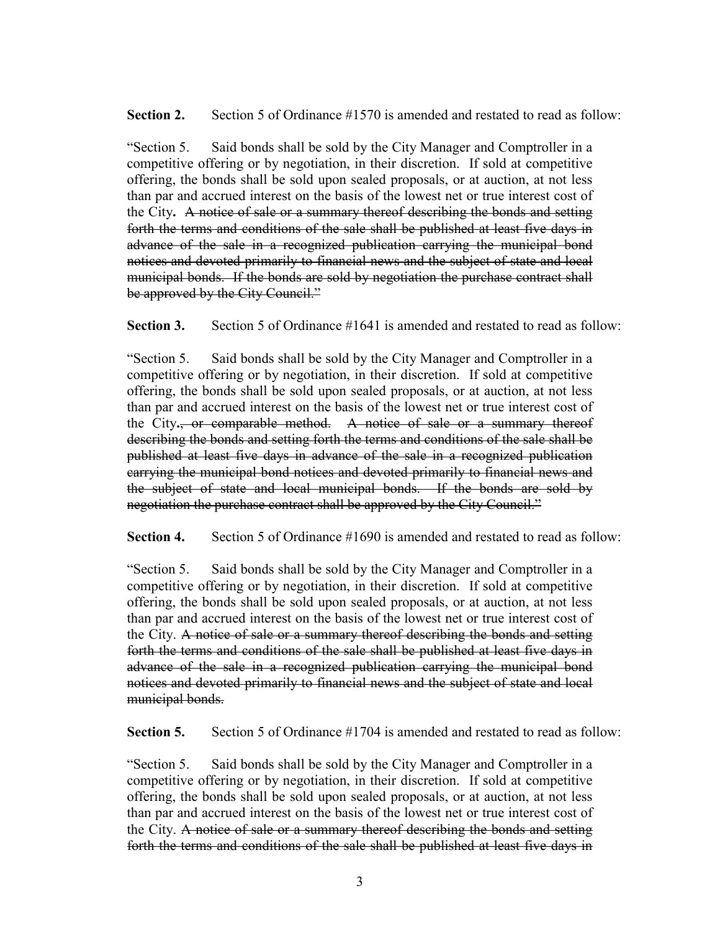**Section 2.** Section 5 of Ordinance #1570 is amended and restated to read as follow:

"Section 5. Said bonds shall be sold by the City Manager and Comptroller in a competitive offering or by negotiation, in their discretion. If sold at competitive offering, the bonds shall be sold upon sealed proposals, or at auction, at not less than par and accrued interest on the basis of the lowest net or true interest cost of the City**.** A notice of sale or a summary thereof describing the bonds and setting forth the terms and conditions of the sale shall be published at least five days in advance of the sale in a recognized publication carrying the municipal bond notices and devoted primarily to financial news and the subject of state and local municipal bonds. If the bonds are sold by negotiation the purchase contract shall be approved by the City Council."

**Section 3.** Section 5 of Ordinance #1641 is amended and restated to read as follow:

"Section 5. Said bonds shall be sold by the City Manager and Comptroller in a competitive offering or by negotiation, in their discretion. If sold at competitive offering, the bonds shall be sold upon sealed proposals, or at auction, at not less than par and accrued interest on the basis of the lowest net or true interest cost of the City**.**, or comparable method. A notice of sale or a summary thereof describing the bonds and setting forth the terms and conditions of the sale shall be published at least five days in advance of the sale in a recognized publication carrying the municipal bond notices and devoted primarily to financial news and the subject of state and local municipal bonds. If the bonds are sold by negotiation the purchase contract shall be approved by the City Council."

**Section 4.** Section 5 of Ordinance #1690 is amended and restated to read as follow:

"Section 5. Said bonds shall be sold by the City Manager and Comptroller in a competitive offering or by negotiation, in their discretion. If sold at competitive offering, the bonds shall be sold upon sealed proposals, or at auction, at not less than par and accrued interest on the basis of the lowest net or true interest cost of the City. A notice of sale or a summary thereof describing the bonds and setting forth the terms and conditions of the sale shall be published at least five days in advance of the sale in a recognized publication carrying the municipal bond notices and devoted primarily to financial news and the subject of state and local municipal bonds.

**Section 5.** Section 5 of Ordinance #1704 is amended and restated to read as follow:

"Section 5. Said bonds shall be sold by the City Manager and Comptroller in a competitive offering or by negotiation, in their discretion. If sold at competitive offering, the bonds shall be sold upon sealed proposals, or at auction, at not less than par and accrued interest on the basis of the lowest net or true interest cost of the City. A notice of sale or a summary thereof describing the bonds and setting forth the terms and conditions of the sale shall be published at least five days in